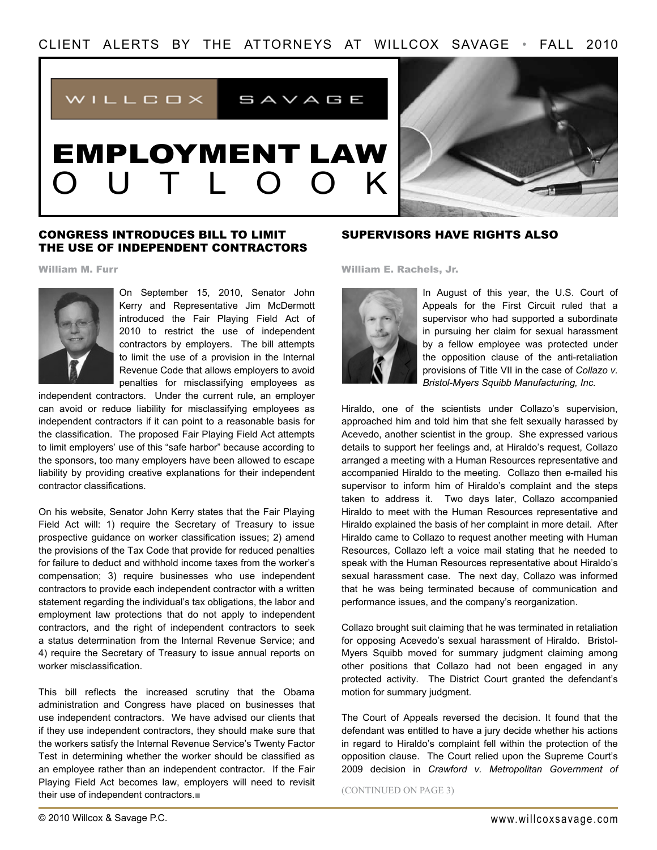

# EMPLOYMENT LAW O U T L O O K



#### Congress Introduces Bill to Limit the Use of Independent Contractors

William M. Furr



On September 15, 2010, Senator John Kerry and Representative Jim McDermott introduced the Fair Playing Field Act of 2010 to restrict the use of independent contractors by employers. The bill attempts to limit the use of a provision in the Internal Revenue Code that allows employers to avoid penalties for misclassifying employees as

independent contractors. Under the current rule, an employer can avoid or reduce liability for misclassifying employees as independent contractors if it can point to a reasonable basis for the classification. The proposed Fair Playing Field Act attempts to limit employers' use of this "safe harbor" because according to the sponsors, too many employers have been allowed to escape liability by providing creative explanations for their independent contractor classifications.

On his website, Senator John Kerry states that the Fair Playing Field Act will: 1) require the Secretary of Treasury to issue prospective guidance on worker classification issues; 2) amend the provisions of the Tax Code that provide for reduced penalties for failure to deduct and withhold income taxes from the worker's compensation; 3) require businesses who use independent contractors to provide each independent contractor with a written statement regarding the individual's tax obligations, the labor and employment law protections that do not apply to independent contractors, and the right of independent contractors to seek a status determination from the Internal Revenue Service; and 4) require the Secretary of Treasury to issue annual reports on worker misclassification.

This bill reflects the increased scrutiny that the Obama administration and Congress have placed on businesses that use independent contractors. We have advised our clients that if they use independent contractors, they should make sure that the workers satisfy the Internal Revenue Service's Twenty Factor Test in determining whether the worker should be classified as an employee rather than an independent contractor. If the Fair Playing Field Act becomes law, employers will need to revisit their use of independent contractors.■

#### Supervisors Have Rights Also

William E. Rachels, Jr.



In August of this year, the U.S. Court of Appeals for the First Circuit ruled that a supervisor who had supported a subordinate in pursuing her claim for sexual harassment by a fellow employee was protected under the opposition clause of the anti-retaliation provisions of Title VII in the case of *Collazo v. Bristol-Myers Squibb Manufacturing, Inc.*

Hiraldo, one of the scientists under Collazo's supervision, approached him and told him that she felt sexually harassed by Acevedo, another scientist in the group. She expressed various details to support her feelings and, at Hiraldo's request, Collazo arranged a meeting with a Human Resources representative and accompanied Hiraldo to the meeting. Collazo then e-mailed his supervisor to inform him of Hiraldo's complaint and the steps taken to address it. Two days later, Collazo accompanied Hiraldo to meet with the Human Resources representative and Hiraldo explained the basis of her complaint in more detail. After Hiraldo came to Collazo to request another meeting with Human Resources, Collazo left a voice mail stating that he needed to speak with the Human Resources representative about Hiraldo's sexual harassment case. The next day, Collazo was informed that he was being terminated because of communication and performance issues, and the company's reorganization.

Collazo brought suit claiming that he was terminated in retaliation for opposing Acevedo's sexual harassment of Hiraldo. Bristol-Myers Squibb moved for summary judgment claiming among other positions that Collazo had not been engaged in any protected activity. The District Court granted the defendant's motion for summary judgment.

The Court of Appeals reversed the decision. It found that the defendant was entitled to have a jury decide whether his actions in regard to Hiraldo's complaint fell within the protection of the opposition clause. The Court relied upon the Supreme Court's 2009 decision in *Crawford v. Metropolitan Government of* 

(CONTINUED ON PAGE 3)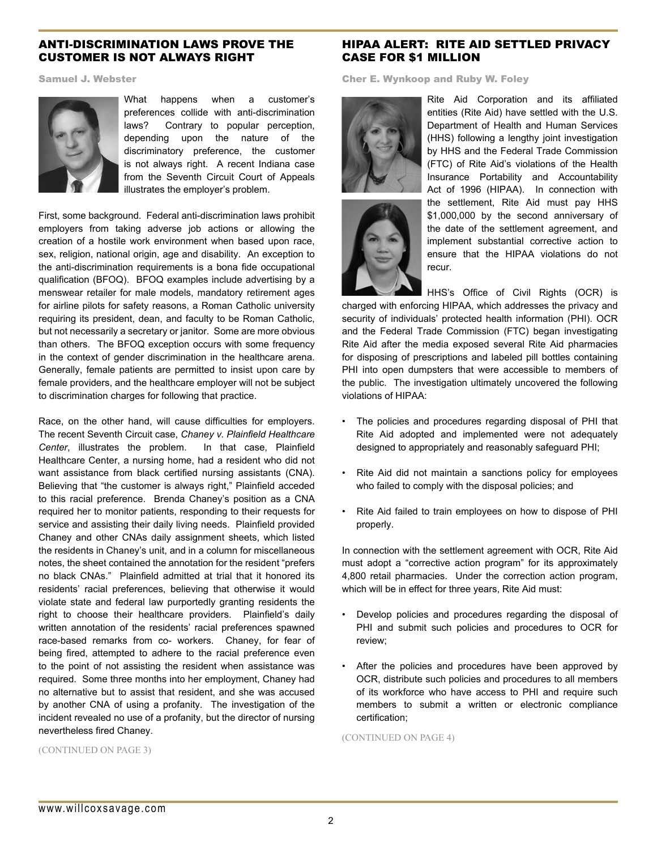### Anti-discrimination laws prove The Customer is Not Always Right

Samuel J. Webster



What happens when a customer's preferences collide with anti-discrimination laws? Contrary to popular perception, depending upon the nature of the discriminatory preference, the customer is not always right. A recent Indiana case from the Seventh Circuit Court of Appeals illustrates the employer's problem.

First, some background. Federal anti-discrimination laws prohibit employers from taking adverse job actions or allowing the creation of a hostile work environment when based upon race, sex, religion, national origin, age and disability. An exception to the anti-discrimination requirements is a bona fide occupational qualification (BFOQ). BFOQ examples include advertising by a menswear retailer for male models, mandatory retirement ages for airline pilots for safety reasons, a Roman Catholic university requiring its president, dean, and faculty to be Roman Catholic, but not necessarily a secretary or janitor. Some are more obvious than others. The BFOQ exception occurs with some frequency in the context of gender discrimination in the healthcare arena. Generally, female patients are permitted to insist upon care by female providers, and the healthcare employer will not be subject to discrimination charges for following that practice.

Race, on the other hand, will cause difficulties for employers. The recent Seventh Circuit case, *Chaney v. Plainfield Healthcare Center*, illustrates the problem. In that case, Plainfield Healthcare Center, a nursing home, had a resident who did not want assistance from black certified nursing assistants (CNA). Believing that "the customer is always right," Plainfield acceded to this racial preference. Brenda Chaney's position as a CNA required her to monitor patients, responding to their requests for service and assisting their daily living needs. Plainfield provided Chaney and other CNAs daily assignment sheets, which listed the residents in Chaney's unit, and in a column for miscellaneous notes, the sheet contained the annotation for the resident "prefers no black CNAs." Plainfield admitted at trial that it honored its residents' racial preferences, believing that otherwise it would violate state and federal law purportedly granting residents the right to choose their healthcare providers. Plainfield's daily written annotation of the residents' racial preferences spawned race-based remarks from co- workers. Chaney, for fear of being fired, attempted to adhere to the racial preference even to the point of not assisting the resident when assistance was required. Some three months into her employment, Chaney had no alternative but to assist that resident, and she was accused by another CNA of using a profanity. The investigation of the incident revealed no use of a profanity, but the director of nursing nevertheless fired Chaney.

### HIPAA Alert: Rite Aid Settled Privacy Case for \$1 Million

Cher E. Wynkoop and Ruby W. Foley





Rite Aid Corporation and its affiliated entities (Rite Aid) have settled with the U.S. Department of Health and Human Services (HHS) following a lengthy joint investigation by HHS and the Federal Trade Commission (FTC) of Rite Aid's violations of the Health Insurance Portability and Accountability Act of 1996 (HIPAA). In connection with the settlement, Rite Aid must pay HHS \$1,000,000 by the second anniversary of the date of the settlement agreement, and implement substantial corrective action to ensure that the HIPAA violations do not recur.

HHS's Office of Civil Rights (OCR) is charged with enforcing HIPAA, which addresses the privacy and security of individuals' protected health information (PHI). OCR and the Federal Trade Commission (FTC) began investigating Rite Aid after the media exposed several Rite Aid pharmacies for disposing of prescriptions and labeled pill bottles containing PHI into open dumpsters that were accessible to members of the public. The investigation ultimately uncovered the following violations of HIPAA:

- The policies and procedures regarding disposal of PHI that Rite Aid adopted and implemented were not adequately designed to appropriately and reasonably safeguard PHI;
- Rite Aid did not maintain a sanctions policy for employees who failed to comply with the disposal policies; and
- Rite Aid failed to train employees on how to dispose of PHI properly.

In connection with the settlement agreement with OCR, Rite Aid must adopt a "corrective action program" for its approximately 4,800 retail pharmacies. Under the correction action program, which will be in effect for three years, Rite Aid must:

- Develop policies and procedures regarding the disposal of PHI and submit such policies and procedures to OCR for review;
- After the policies and procedures have been approved by OCR, distribute such policies and procedures to all members of its workforce who have access to PHI and require such members to submit a written or electronic compliance certification;

(CONTINUED ON PAGE 4)

(CONTINUED ON PAGE 3)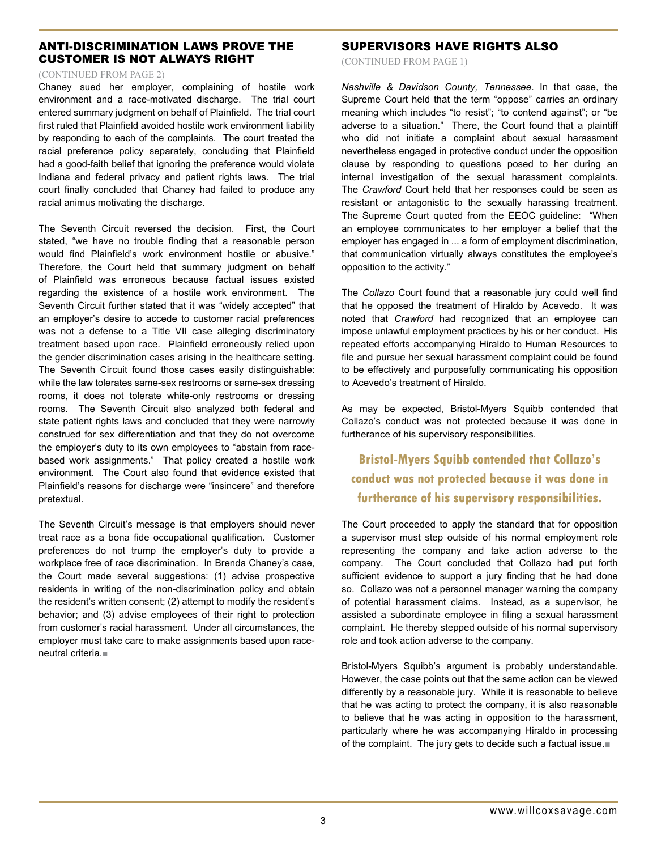# anti-discrimination laws prove The Customer is Not Always Right

#### (CONTINUED fROM PAGE 2)

Chaney sued her employer, complaining of hostile work environment and a race-motivated discharge. The trial court entered summary judgment on behalf of Plainfield. The trial court first ruled that Plainfield avoided hostile work environment liability by responding to each of the complaints. The court treated the racial preference policy separately, concluding that Plainfield had a good-faith belief that ignoring the preference would violate Indiana and federal privacy and patient rights laws. The trial court finally concluded that Chaney had failed to produce any racial animus motivating the discharge.

The Seventh Circuit reversed the decision. First, the Court stated, "we have no trouble finding that a reasonable person would find Plainfield's work environment hostile or abusive." Therefore, the Court held that summary judgment on behalf of Plainfield was erroneous because factual issues existed regarding the existence of a hostile work environment. The Seventh Circuit further stated that it was "widely accepted" that an employer's desire to accede to customer racial preferences was not a defense to a Title VII case alleging discriminatory treatment based upon race. Plainfield erroneously relied upon the gender discrimination cases arising in the healthcare setting. The Seventh Circuit found those cases easily distinguishable: while the law tolerates same-sex restrooms or same-sex dressing rooms, it does not tolerate white-only restrooms or dressing rooms. The Seventh Circuit also analyzed both federal and state patient rights laws and concluded that they were narrowly construed for sex differentiation and that they do not overcome the employer's duty to its own employees to "abstain from racebased work assignments." That policy created a hostile work environment. The Court also found that evidence existed that Plainfield's reasons for discharge were "insincere" and therefore pretextual.

The Seventh Circuit's message is that employers should never treat race as a bona fide occupational qualification. Customer preferences do not trump the employer's duty to provide a workplace free of race discrimination. In Brenda Chaney's case, the Court made several suggestions: (1) advise prospective residents in writing of the non-discrimination policy and obtain the resident's written consent; (2) attempt to modify the resident's behavior; and (3) advise employees of their right to protection from customer's racial harassment. Under all circumstances, the employer must take care to make assignments based upon raceneutral criteria.■

# Supervisors Have Rights Also

(CONTINUED fROM PAGE 1)

*Nashville & Davidson County, Tennessee*. In that case, the Supreme Court held that the term "oppose" carries an ordinary meaning which includes "to resist"; "to contend against"; or "be adverse to a situation." There, the Court found that a plaintiff who did not initiate a complaint about sexual harassment nevertheless engaged in protective conduct under the opposition clause by responding to questions posed to her during an internal investigation of the sexual harassment complaints. The *Crawford* Court held that her responses could be seen as resistant or antagonistic to the sexually harassing treatment. The Supreme Court quoted from the EEOC guideline: "When an employee communicates to her employer a belief that the employer has engaged in ... a form of employment discrimination, that communication virtually always constitutes the employee's opposition to the activity."

The *Collazo* Court found that a reasonable jury could well find that he opposed the treatment of Hiraldo by Acevedo. It was noted that *Crawford* had recognized that an employee can impose unlawful employment practices by his or her conduct. His repeated efforts accompanying Hiraldo to Human Resources to file and pursue her sexual harassment complaint could be found to be effectively and purposefully communicating his opposition to Acevedo's treatment of Hiraldo.

As may be expected, Bristol-Myers Squibb contended that Collazo's conduct was not protected because it was done in furtherance of his supervisory responsibilities.

**Bristol-Myers Squibb contended that Collazo's conduct was not protected because it was done in furtherance of his supervisory responsibilities.**

The Court proceeded to apply the standard that for opposition a supervisor must step outside of his normal employment role representing the company and take action adverse to the company. The Court concluded that Collazo had put forth sufficient evidence to support a jury finding that he had done so. Collazo was not a personnel manager warning the company of potential harassment claims. Instead, as a supervisor, he assisted a subordinate employee in filing a sexual harassment complaint. He thereby stepped outside of his normal supervisory role and took action adverse to the company.

Bristol-Myers Squibb's argument is probably understandable. However, the case points out that the same action can be viewed differently by a reasonable jury. While it is reasonable to believe that he was acting to protect the company, it is also reasonable to believe that he was acting in opposition to the harassment, particularly where he was accompanying Hiraldo in processing of the complaint. The jury gets to decide such a factual issue.■